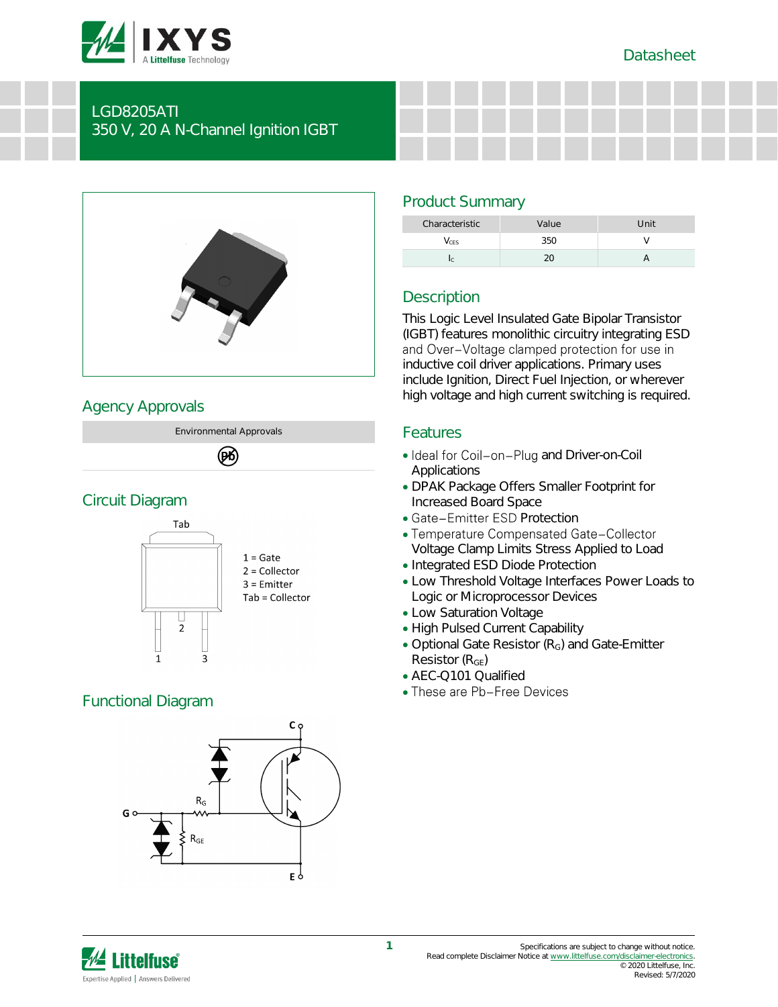



### LGD8205ATI 350 V, 20 A N-Channel Ignition IGBT



# Agency Approvals

Environmental Approvals

(PK)

## Circuit Diagram



# Functional Diagram



# Product Summary

| Characteristic | Value | Unit |
|----------------|-------|------|
| CES            |       |      |
|                |       |      |

# **Description**

This Logic Level Insulated Gate Bipolar Transistor (IGBT) features monolithic circuitry integrating ESD and Over-Voltage clamped protection for use in inductive coil driver applications. Primary uses include Ignition, Direct Fuel Injection, or wherever high voltage and high current switching is required.

## Features

- Ideal for Coil-on-Plug and Driver-on-Coil Applications
- DPAK Package Offers Smaller Footprint for Increased Board Space
- Gate-Emitter ESD Protection
- Temperature Compensated Gate-Collector Voltage Clamp Limits Stress Applied to Load
- Integrated ESD Diode Protection
- Low Threshold Voltage Interfaces Power Loads to Logic or Microprocessor Devices
- Low Saturation Voltage
- High Pulsed Current Capability
- Optional Gate Resistor (R<sub>G</sub>) and Gate-Emitter Resistor  $(R_{GF})$
- AEC-Q101 Qualified
- These are Pb-Free Devices

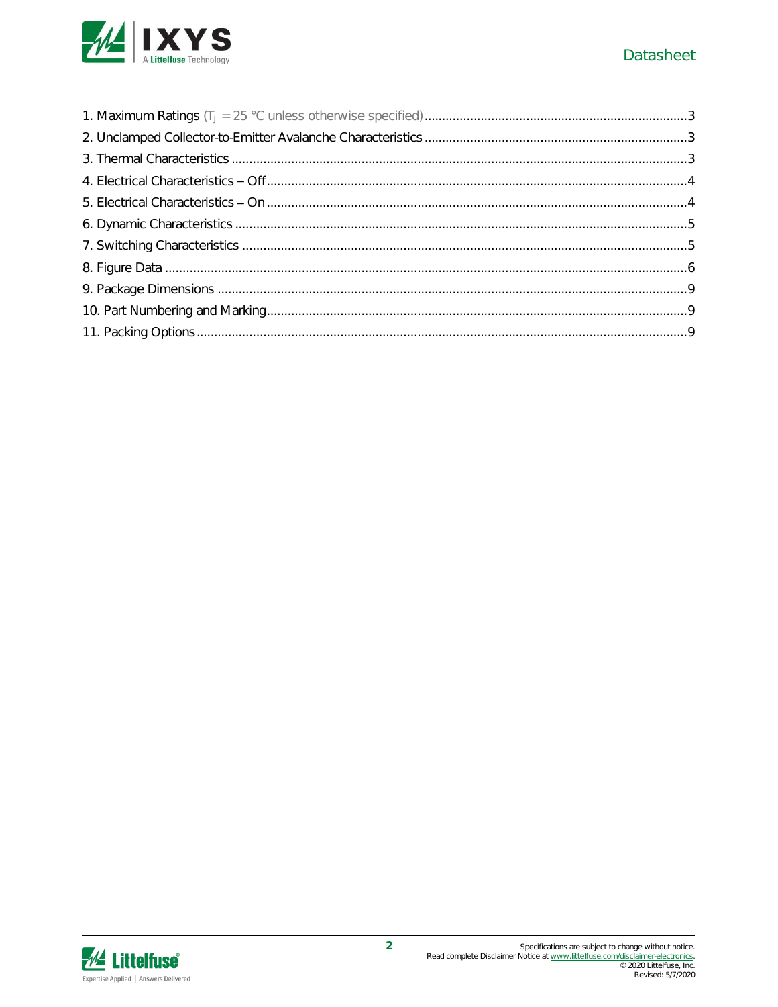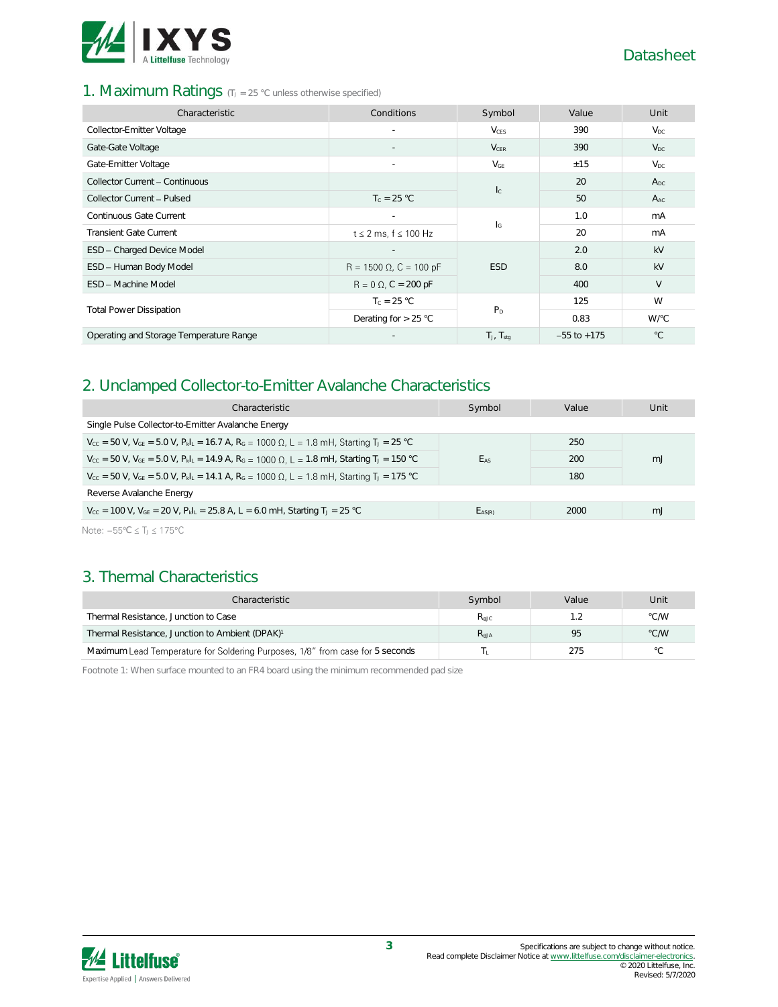

#### 1. Maximum Ratings (TJ = 25 °C unless otherwise specified)

| Characteristic                          | Conditions                     | Symbol                    | Value           | Unit         |
|-----------------------------------------|--------------------------------|---------------------------|-----------------|--------------|
| Collector-Emitter Voltage               |                                | <b>V</b> <sub>CES</sub>   | 390             | $V_{DC}$     |
| Gate-Gate Voltage                       |                                | $V_{CER}$                 | 390             | $V_{DC}$     |
| Gate-Emitter Voltage                    | $\sim$                         | $V_{GE}$                  | ±15             | $V_{DC}$     |
| Collector Current - Continuous          |                                | $l_{\rm c}$               | 20              | $A_{DC}$     |
| Collector Current - Pulsed              | $T_c = 25 °C$                  |                           | 50              | $A_{AC}$     |
| Continuous Gate Current                 | $\overline{\phantom{a}}$       | $\mathsf{I}_{\mathsf{G}}$ | 1.0             | mA           |
| <b>Transient Gate Current</b>           | $t \leq 2$ ms, $f \leq 100$ Hz |                           | 20              | mA           |
| ESD - Charged Device Model              |                                |                           | 2.0             | kV           |
| ESD - Human Body Model                  | $R = 1500 \Omega$ , C = 100 pF | <b>ESD</b>                | 8.0             | kV           |
| ESD - Machine Model                     | $R = 0 \Omega$ , C = 200 pF    |                           | 400             | V            |
|                                         | $T_c = 25 °C$                  |                           | 125             | W            |
| <b>Total Power Dissipation</b>          | Derating for $> 25$ °C         | P <sub>D</sub>            | 0.83            | W/°C         |
| Operating and Storage Temperature Range |                                | $T_J$ , $T_{stq}$         | $-55$ to $+175$ | $^{\circ}$ C |

## 2. Unclamped Collector-to-Emitter Avalanche Characteristics

| Characteristic                                                                                                                                                                                                                                                                                                                     | Symbol          | Value | Unit |  |
|------------------------------------------------------------------------------------------------------------------------------------------------------------------------------------------------------------------------------------------------------------------------------------------------------------------------------------|-----------------|-------|------|--|
| Single Pulse Collector-to-Emitter Avalanche Energy                                                                                                                                                                                                                                                                                 |                 |       |      |  |
| $V_{\text{cc}}$ = 50 V, $V_{\text{GE}}$ = 5.0 V, $P_{\text{k}}$ = 16.7 A, R <sub>G</sub> = 1000 Ω, L = 1.8 mH, Starting T <sub>J</sub> = 25 °C                                                                                                                                                                                     |                 | 250   |      |  |
| $V_{\text{cc}}$ = 50 V, V <sub>GE</sub> = 5.0 V, P <sub>kl</sub> <sub>L</sub> = 14.9 A, R <sub>G</sub> = 1000 Ω, L = 1.8 mH, Starting T <sub>J</sub> = 150 °C                                                                                                                                                                      | E <sub>AS</sub> | 200   | mJ   |  |
| $V_{cc}$ = 50 V, V <sub>GE</sub> = 5.0 V, P <sub>kl</sub> <sub>L</sub> = 14.1 A, R <sub>G</sub> = 1000 Ω, L = 1.8 mH, Starting T <sub>J</sub> = 175 °C                                                                                                                                                                             |                 | 180   |      |  |
| Reverse Avalanche Energy                                                                                                                                                                                                                                                                                                           |                 |       |      |  |
| $V_{\text{CC}}$ = 100 V, $V_{\text{GE}}$ = 20 V, $P_{\text{k}}I_{\text{L}}$ = 25.8 A, L = 6.0 mH, Starting T <sub>J</sub> = 25 °C                                                                                                                                                                                                  | $E_{AS(R)}$     | 2000  | mJ   |  |
| $\mathbf{A}$ $\mathbf{A}$ $\mathbf{A}$ $\mathbf{A}$ $\mathbf{A}$ $\mathbf{A}$ $\mathbf{A}$ $\mathbf{A}$ $\mathbf{A}$ $\mathbf{A}$ $\mathbf{A}$ $\mathbf{A}$ $\mathbf{A}$ $\mathbf{A}$ $\mathbf{A}$ $\mathbf{A}$ $\mathbf{A}$ $\mathbf{A}$ $\mathbf{A}$ $\mathbf{A}$ $\mathbf{A}$ $\mathbf{A}$ $\mathbf{A}$ $\mathbf{A}$ $\mathbf{$ |                 |       |      |  |

Note:  $-55^{\circ}$ C  $\leq$  T $\leq$  175°C

# 3. Thermal Characteristics

| Characteristic                                                                | Symbol           | Value | Unit |
|-------------------------------------------------------------------------------|------------------|-------|------|
| Thermal Resistance, Junction to Case                                          | $R_{\text{AJC}}$ |       | °C/W |
| Thermal Resistance, Junction to Ambient (DPAK) <sup>1</sup>                   | $R_{AJA}$        | 95    | °C/W |
| Maximum Lead Temperature for Soldering Purposes, 1/8" from case for 5 seconds |                  | 275   | °С   |

Footnote 1: When surface mounted to an FR4 board using the minimum recommended pad size

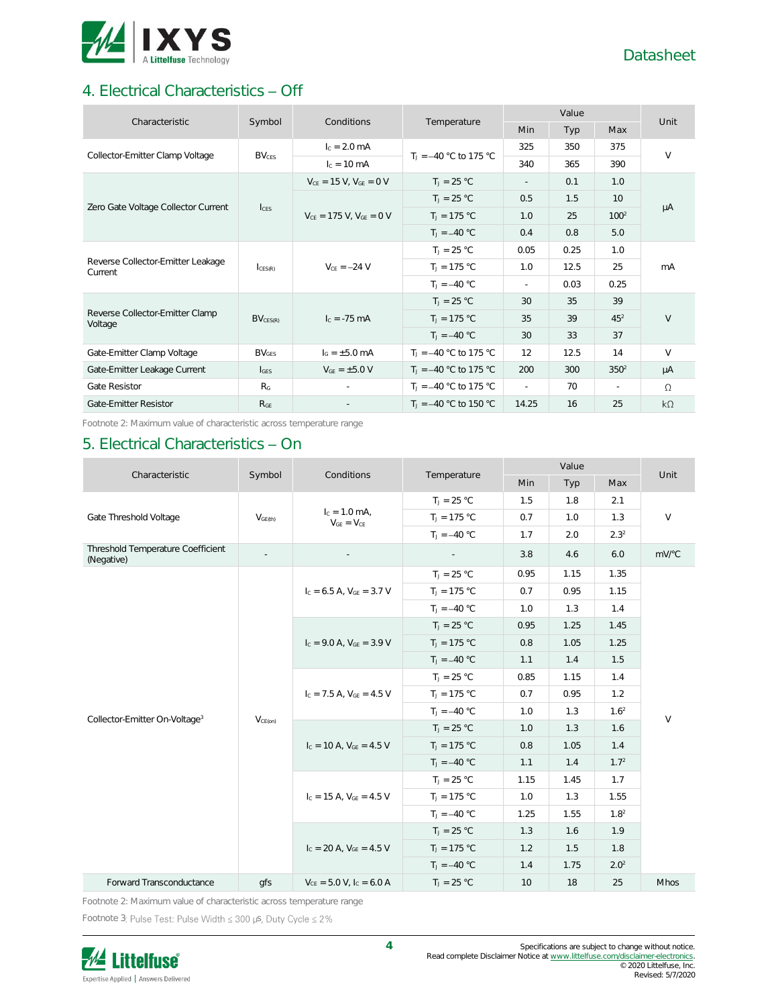

# 4. Electrical Characteristics - Off

| Characteristic                               | Symbol                  | Conditions                       |                          |        | Unit |                  |           |
|----------------------------------------------|-------------------------|----------------------------------|--------------------------|--------|------|------------------|-----------|
|                                              |                         |                                  | Temperature              | Min    | Typ  | Max              |           |
| Collector-Emitter Clamp Voltage              | <b>BV<sub>CES</sub></b> | $I_c = 2.0$ mA                   | $T_1 = -40$ °C to 175 °C | 325    | 350  | 375              | $\vee$    |
|                                              |                         | $I_c = 10 \text{ mA}$            |                          | 340    | 365  | 390              |           |
|                                              |                         | $V_{CE} = 15 V$ , $V_{GE} = 0 V$ | $T_1 = 25 °C$            | $\sim$ | 0.1  | 1.0              |           |
| Zero Gate Voltage Collector Current          | $l_{\text{CES}}$        |                                  | $T_1 = 25 °C$            | 0.5    | 1.5  | 10 <sup>°</sup>  |           |
|                                              |                         | $V_{CF}$ = 175 V, $V_{GF}$ = 0 V | $T_1 = 175 °C$           | 1.0    | 25   | 100 <sup>2</sup> | μA        |
|                                              |                         |                                  | $T_1 = -40 °C$           | 0.4    | 0.8  | 5.0              |           |
|                                              | CES(R)                  | $V_{CF} = -24 V$                 | $T_J = 25 °C$            | 0.05   | 0.25 | 1.0              | mA        |
| Reverse Collector-Emitter Leakage<br>Current |                         |                                  | $T_J = 175 °C$           | 1.0    | 12.5 | 25               |           |
|                                              |                         |                                  | $T_{1} = -40 °C$         | $\sim$ | 0.03 | 0.25             |           |
|                                              |                         |                                  | $T_J = 25 °C$            | 30     | 35   | 39               |           |
| Reverse Collector-Emitter Clamp<br>Voltage   | $BV_{CES(R)}$           | $I_c = -75 \text{ mA}$           | $T_J = 175 °C$           | 35     | 39   | 45 <sup>2</sup>  | V         |
|                                              |                         |                                  | $T_1 = -40 °C$           | 30     | 33   | 37               |           |
| Gate-Emitter Clamp Voltage                   | BV <sub>GFS</sub>       | $I_G = \pm 5.0$ mA               | $T_1 = -40$ °C to 175 °C | 12     | 12.5 | 14               | V         |
| Gate-Emitter Leakage Current                 | $I_{GES}$               | $V_{GE} = \pm 5.0 V$             | $T_1 = -40$ °C to 175 °C | 200    | 300  | 350 <sup>2</sup> | μA        |
| Gate Resistor                                | R <sub>G</sub>          |                                  | $T_1 = -40$ °C to 175 °C | ÷.     | 70   | ×.               | $\Omega$  |
| Gate-Emitter Resistor                        | R <sub>GF</sub>         |                                  | $T_1 = -40$ °C to 150 °C | 14.25  | 16   | 25               | $k\Omega$ |

Footnote 2: Maximum value of characteristic across temperature range

## 5. Electrical Characteristics - On

| Characteristic                                  | Symbol<br>Conditions |                                          | Temperature      |      | Unit |                  |             |
|-------------------------------------------------|----------------------|------------------------------------------|------------------|------|------|------------------|-------------|
|                                                 |                      |                                          |                  | Min  | Typ  | Max              |             |
|                                                 |                      |                                          | $T_J = 25 °C$    | 1.5  | 1.8  | 2.1              |             |
| Gate Threshold Voltage                          | V <sub>GE(th)</sub>  | $I_c = 1.0$ mA,<br>$V_{GE} = V_{CE}$     | $T_J = 175 °C$   | 0.7  | 1.0  | 1.3              | $\vee$      |
|                                                 |                      |                                          | $T_1 = -40 °C$   | 1.7  | 2.0  | 2.3 <sup>2</sup> |             |
| Threshold Temperature Coefficient<br>(Negative) |                      |                                          |                  | 3.8  | 4.6  | 6.0              | mV/°C       |
|                                                 |                      |                                          | $T_J = 25 °C$    | 0.95 | 1.15 | 1.35             |             |
|                                                 |                      | $I_c = 6.5$ A, $V_{GE} = 3.7$ V          | $T_J = 175 °C$   | 0.7  | 0.95 | 1.15             |             |
|                                                 |                      |                                          | $T_1 = -40 °C$   | 1.0  | 1.3  | 1.4              |             |
|                                                 |                      |                                          | $T_J = 25 °C$    | 0.95 | 1.25 | 1.45             |             |
|                                                 | $V_{CE(on)}$         | $I_c = 9.0 A$ , $V_{GE} = 3.9 V$         | $T_J = 175 °C$   | 0.8  | 1.05 | 1.25             | $\vee$      |
|                                                 |                      |                                          | $T_1 = -40 °C$   | 1.1  | 1.4  | 1.5              |             |
|                                                 |                      | $I_c = 7.5 A$ , $V_{GE} = 4.5 V$         | $T_J = 25 °C$    | 0.85 | 1.15 | 1.4              |             |
|                                                 |                      |                                          | $T_J = 175 °C$   | 0.7  | 0.95 | 1.2              |             |
| Collector-Emitter On-Voltage <sup>3</sup>       |                      |                                          | $T_{1} = -40 °C$ | 1.0  | 1.3  | 1.6 <sup>2</sup> |             |
|                                                 |                      | $I_c = 10$ A, $V_{GE} = 4.5$ V           | $T_J = 25 °C$    | 1.0  | 1.3  | 1.6              |             |
|                                                 |                      |                                          | $T_J = 175 °C$   | 0.8  | 1.05 | 1.4              |             |
|                                                 |                      |                                          | $T_J = -40 °C$   | 1.1  | 1.4  | 1.7 <sup>2</sup> |             |
|                                                 |                      |                                          | $T_J = 25 °C$    | 1.15 | 1.45 | 1.7              |             |
|                                                 |                      | $I_c = 15$ A, $V_{GE} = 4.5$ V           | $T_J = 175 °C$   | 1.0  | 1.3  | 1.55             |             |
|                                                 |                      |                                          | $T_{1} = -40 °C$ | 1.25 | 1.55 | 1.8 <sup>2</sup> |             |
|                                                 |                      |                                          | $T_J = 25 °C$    | 1.3  | 1.6  | 1.9              |             |
|                                                 |                      | $I_c = 20$ A, $V_{GF} = 4.5$ V           | $T_1 = 175 °C$   | 1.2  | 1.5  | 1.8              |             |
|                                                 |                      |                                          | $T_1 = -40 °C$   | 1.4  | 1.75 | 2.0 <sup>2</sup> |             |
| Forward Transconductance                        | <b>afs</b>           | $V_{CF}$ = 5.0 V, I <sub>C</sub> = 6.0 A | $T_1 = 25 °C$    | 10   | 18   | 25               | <b>Mhos</b> |

Footnote 2: Maximum value of characteristic across temperature range

Footnote 3: Pulse Test: Pulse Width  $\leq 300$  µs, Duty Cycle  $\leq 2\%$ 

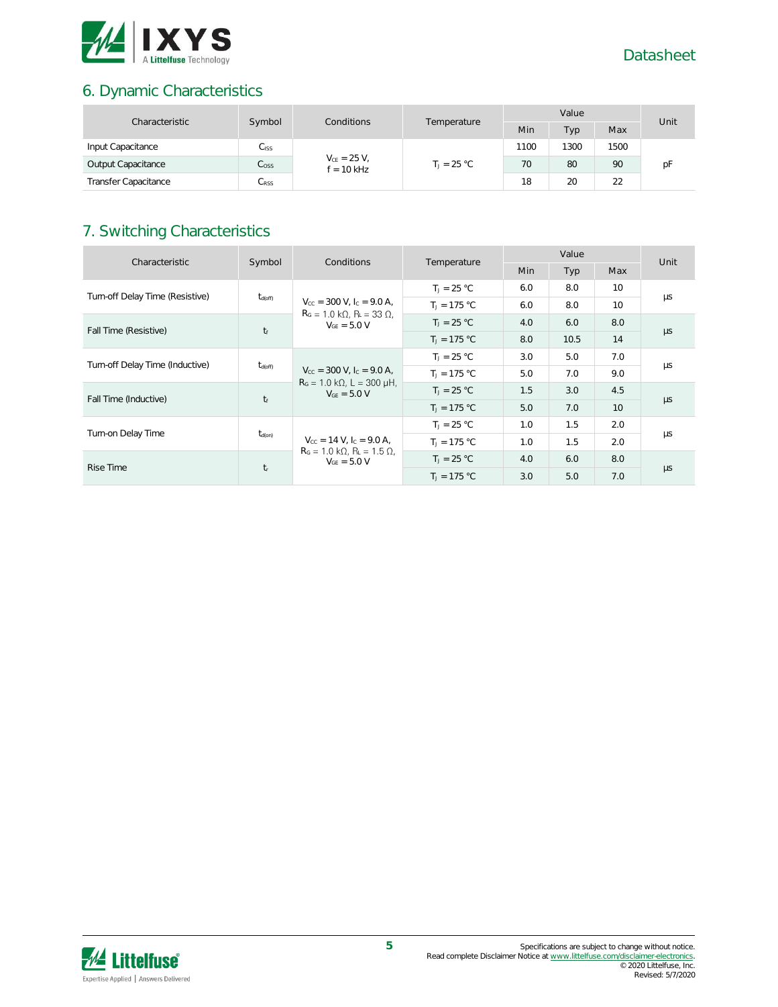

# 6. Dynamic Characteristics

| Characteristic              | Symbol<br>Conditions<br>Temperature |                                  | Value |               |      | Unit |    |    |
|-----------------------------|-------------------------------------|----------------------------------|-------|---------------|------|------|----|----|
|                             |                                     | Min                              | Typ   | Max           |      |      |    |    |
| Input Capacitance           | $C_{\text{ISS}}$                    | $V_{CE} = 25 V,$<br>$f = 10$ kHz |       | 1100          | 1300 | 1500 |    |    |
| Output Capacitance          | C <sub>oss</sub>                    |                                  |       | $T_1 = 25 °C$ | 70   | 80   | 90 | рF |
| <b>Transfer Capacitance</b> | C <sub>RSS</sub>                    |                                  |       | 18            | 20   | 22   |    |    |

# 7. Switching Characteristics

| Characteristic                  | Symbol              | Conditions                                                                                                                          | Temperature    | Value      |      |                 | Unit    |
|---------------------------------|---------------------|-------------------------------------------------------------------------------------------------------------------------------------|----------------|------------|------|-----------------|---------|
|                                 |                     |                                                                                                                                     |                | <b>Min</b> | Typ  | Max             |         |
| Turn-off Delay Time (Resistive) |                     |                                                                                                                                     | $T_1 = 25 °C$  | 6.0        | 8.0  | 10              |         |
|                                 | $t_{\text{d(off)}}$ | $V_{\text{cc}} = 300 \text{ V}$ , $I_{\text{c}} = 9.0 \text{ A}$ ,<br>$RG = 1.0 k\Omega$ , $RL = 33 \Omega$ ,                       | $T_1 = 175 °C$ | 6.0        | 8.0  | 10 <sup>2</sup> | μs      |
|                                 |                     | $V_{GF} = 5.0 V$                                                                                                                    | $T_1 = 25 °C$  | 4.0        | 6.0  | 8.0             |         |
| Fall Time (Resistive)           | $t_f$               |                                                                                                                                     | $T_1 = 175 °C$ | 8.0        | 10.5 | 14              | $\mu s$ |
| Turn-off Delay Time (Inductive) | $t_{\text{d(off)}}$ | $V_{\text{cc}} = 300 \text{ V}$ , $I_{\text{c}} = 9.0 \text{ A}$ ,<br>$R_G = 1.0 \text{ k}\Omega$ , L = 300 µH,<br>$V_{GF} = 5.0 V$ | $T_1 = 25 °C$  | 3.0        | 5.0  | 7.0             | μs      |
|                                 |                     |                                                                                                                                     | $T_1 = 175 °C$ | 5.0        | 7.0  | 9.0             |         |
|                                 |                     |                                                                                                                                     | $T_1 = 25 °C$  | 1.5        | 3.0  | 4.5             |         |
| Fall Time (Inductive)           | $t_f$               |                                                                                                                                     | $T_1 = 175 °C$ | 5.0        | 7.0  | 10 <sup>°</sup> | $\mu s$ |
|                                 |                     | $V_{\text{cc}} = 14 \text{ V}$ , $I_{\text{c}} = 9.0 \text{ A}$ ,                                                                   | $T_1 = 25 °C$  | 1.0        | 1.5  | 2.0             |         |
| Turn-on Delay Time              | $t_{d(on)}$         |                                                                                                                                     | $T_1 = 175 °C$ | 1.0        | 1.5  | 2.0             | μs      |
| Rise Time                       |                     | $RG = 1.0 k\Omega$ , $RL = 1.5 \Omega$ ,<br>$V_{GF} = 5.0 V$                                                                        | $T_J = 25 °C$  | 4.0        | 6.0  | 8.0             |         |
|                                 | $t_{\rm r}$         |                                                                                                                                     | $T_1 = 175 °C$ | 3.0        | 5.0  | 7.0             | $\mu s$ |

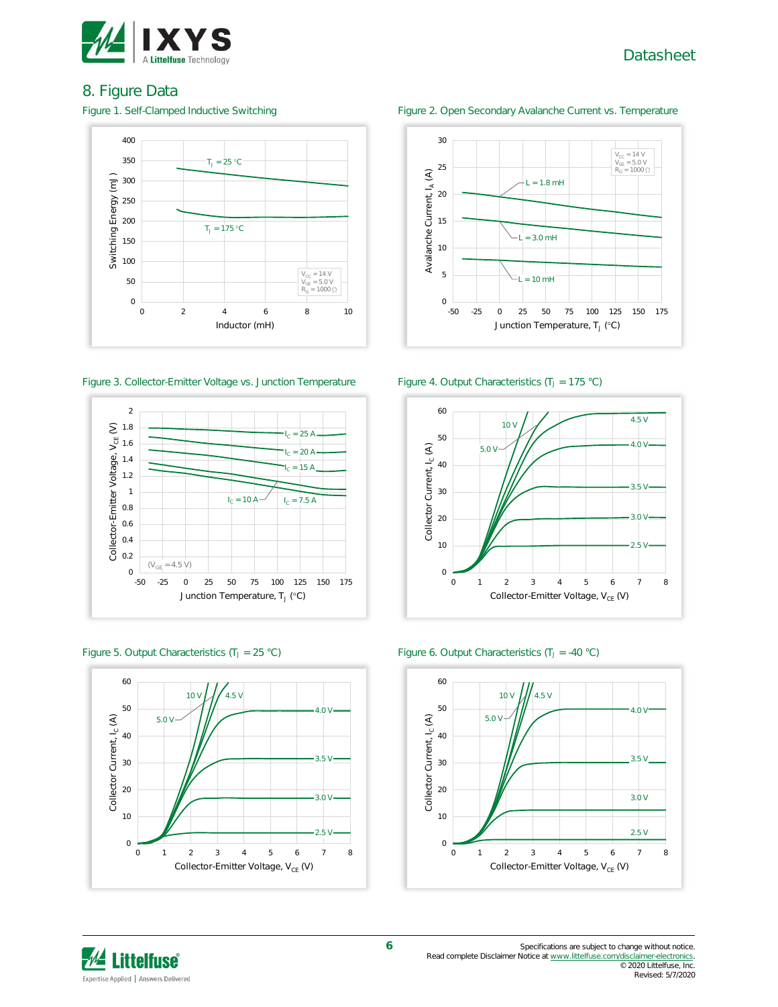

#### 8. Figure Data



#### Figure 3. Collector-Emitter Voltage vs. Junction Temperature Figure 4. Output Characteristics (T<sub>J</sub> = 175 °C)



Figure 5. Output Characteristics (T<sub>J</sub> = 25 °C) Figure 6. Output Characteristics (T<sub>J</sub> = -40 °C)









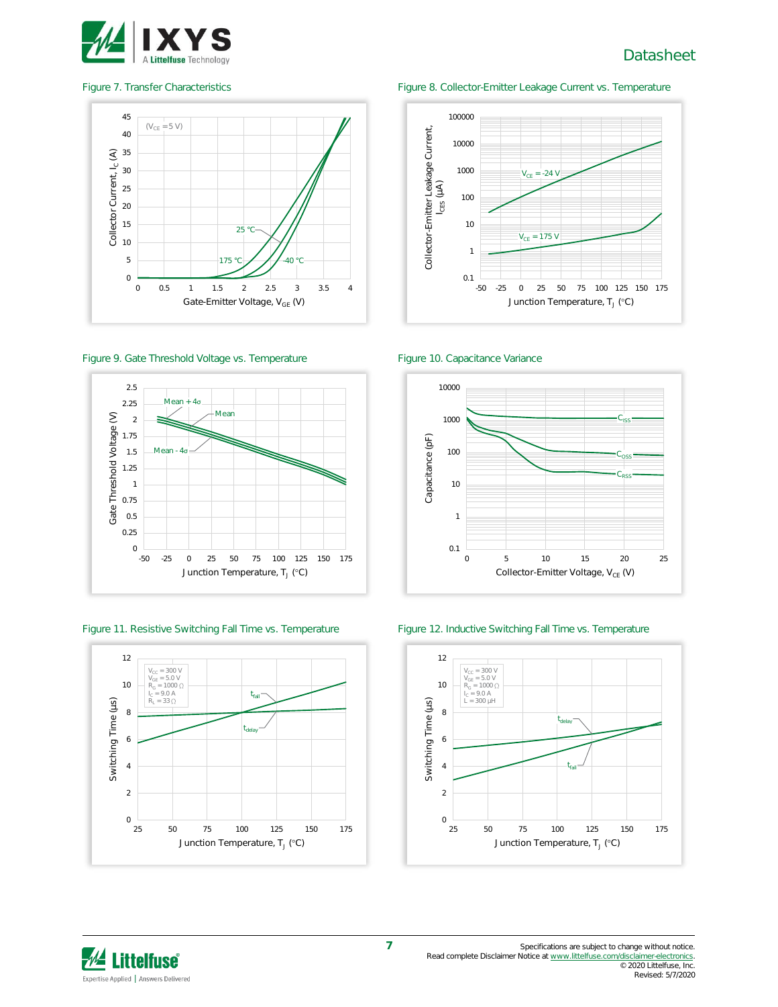



Figure 9. Gate Threshold Voltage vs. Temperature Figure 10. Capacitance Variance



Figure 11. Resistive Switching Fall Time vs. Temperature Figure 12. Inductive Switching Fall Time vs. Temperature



#### Figure 7. Transfer Characteristics Figure 8. Collector-Emitter Leakage Current vs. Temperature







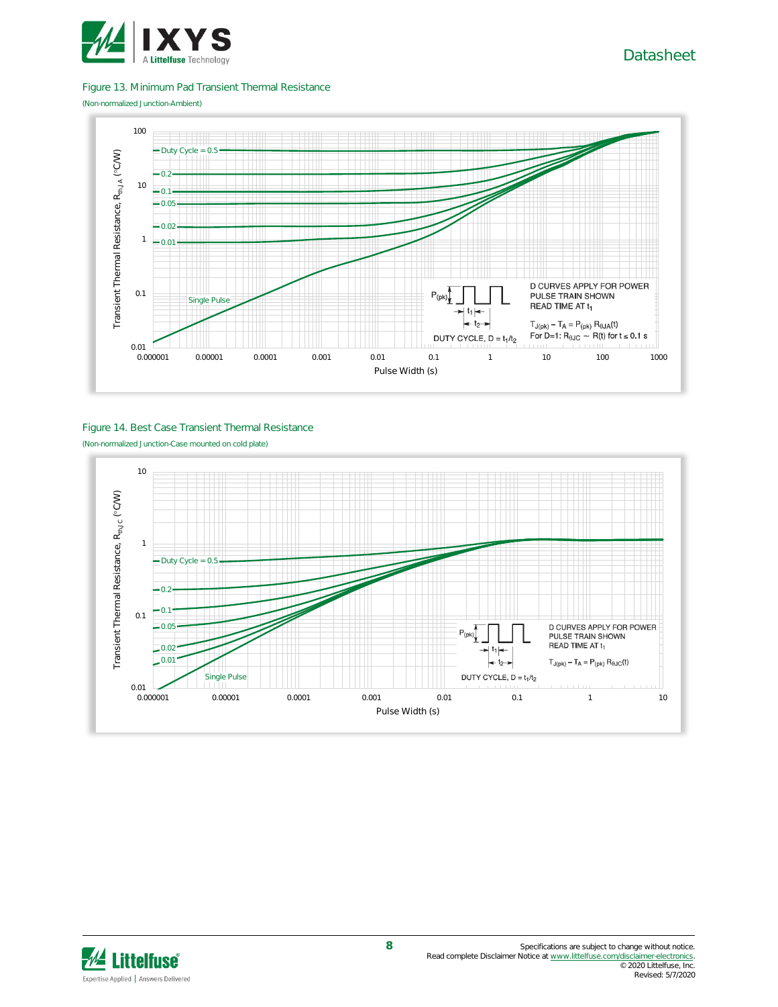

#### Figure 13. Minimum Pad Transient Thermal Resistance

(Non-normalized Junction-Ambient)



#### Figure 14. Best Case Transient Thermal Resistance (Non-normalized Junction-Case mounted on cold plate)